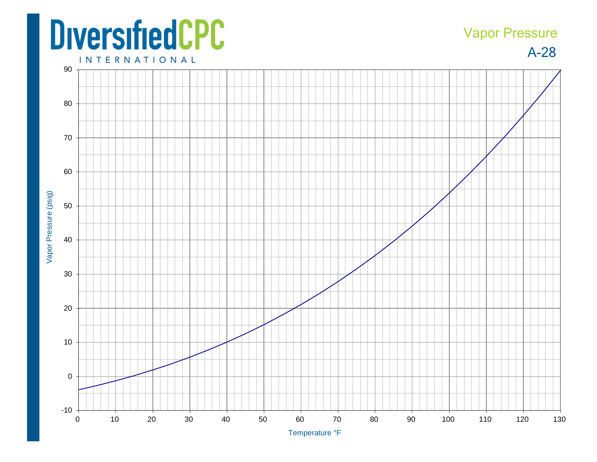## **DiversifiedCPC**

## Vapor Pressure

A-28



Temperature °F